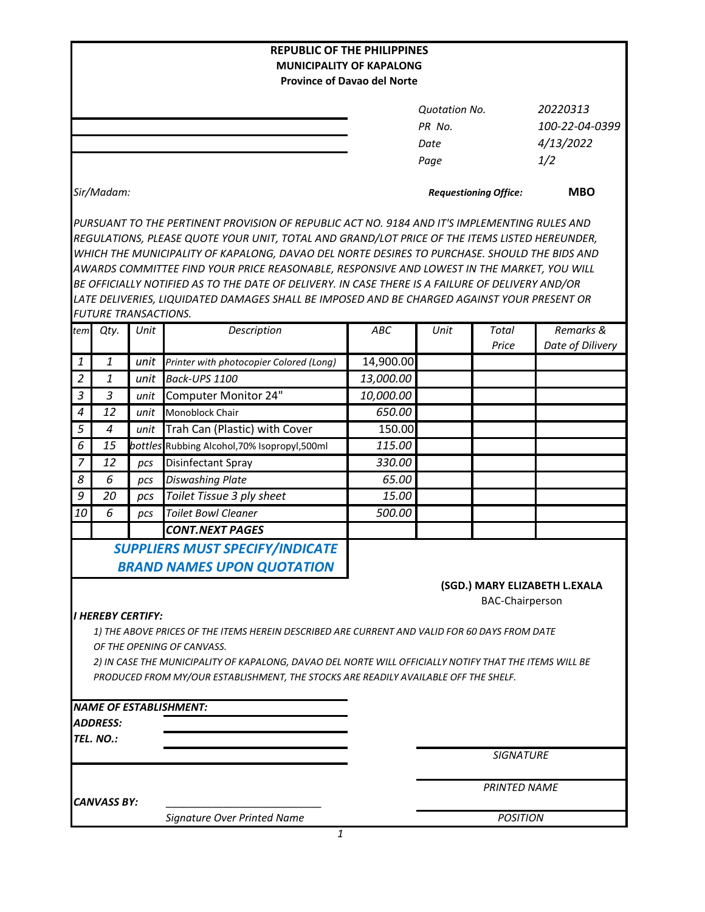|                                                                                                        |                    |                                 | <b>REPUBLIC OF THE PHILIPPINES</b>                                                               |           |                              |                        |                               |  |  |  |  |
|--------------------------------------------------------------------------------------------------------|--------------------|---------------------------------|--------------------------------------------------------------------------------------------------|-----------|------------------------------|------------------------|-------------------------------|--|--|--|--|
| <b>MUNICIPALITY OF KAPALONG</b>                                                                        |                    |                                 |                                                                                                  |           |                              |                        |                               |  |  |  |  |
| <b>Province of Davao del Norte</b>                                                                     |                    |                                 |                                                                                                  |           |                              |                        |                               |  |  |  |  |
|                                                                                                        |                    |                                 |                                                                                                  |           | Quotation No.                |                        | 20220313                      |  |  |  |  |
|                                                                                                        |                    |                                 |                                                                                                  |           | PR No.                       |                        | 100-22-04-0399                |  |  |  |  |
|                                                                                                        |                    |                                 |                                                                                                  |           | Date                         |                        | 4/13/2022                     |  |  |  |  |
|                                                                                                        |                    |                                 |                                                                                                  |           | Page                         |                        | 1/2                           |  |  |  |  |
|                                                                                                        |                    |                                 |                                                                                                  |           |                              |                        |                               |  |  |  |  |
|                                                                                                        | Sir/Madam:         |                                 |                                                                                                  |           | <b>Requestioning Office:</b> |                        | <b>MBO</b>                    |  |  |  |  |
|                                                                                                        |                    |                                 | PURSUANT TO THE PERTINENT PROVISION OF REPUBLIC ACT NO. 9184 AND IT'S IMPLEMENTING RULES AND     |           |                              |                        |                               |  |  |  |  |
|                                                                                                        |                    |                                 | REGULATIONS, PLEASE QUOTE YOUR UNIT, TOTAL AND GRAND/LOT PRICE OF THE ITEMS LISTED HEREUNDER,    |           |                              |                        |                               |  |  |  |  |
| WHICH THE MUNICIPALITY OF KAPALONG, DAVAO DEL NORTE DESIRES TO PURCHASE. SHOULD THE BIDS AND           |                    |                                 |                                                                                                  |           |                              |                        |                               |  |  |  |  |
|                                                                                                        |                    |                                 | AWARDS COMMITTEE FIND YOUR PRICE REASONABLE, RESPONSIVE AND LOWEST IN THE MARKET, YOU WILL       |           |                              |                        |                               |  |  |  |  |
|                                                                                                        |                    |                                 | BE OFFICIALLY NOTIFIED AS TO THE DATE OF DELIVERY. IN CASE THERE IS A FAILURE OF DELIVERY AND/OR |           |                              |                        |                               |  |  |  |  |
|                                                                                                        |                    |                                 | LATE DELIVERIES, LIQUIDATED DAMAGES SHALL BE IMPOSED AND BE CHARGED AGAINST YOUR PRESENT OR      |           |                              |                        |                               |  |  |  |  |
|                                                                                                        |                    | <b>FUTURE TRANSACTIONS.</b>     |                                                                                                  |           |                              |                        |                               |  |  |  |  |
| tem                                                                                                    | Qty.               | Unit                            | Description                                                                                      | ABC       | Unit                         | Total<br>Price         | Remarks &<br>Date of Dilivery |  |  |  |  |
| 1                                                                                                      | 1                  | unit                            | Printer with photocopier Colored (Long)                                                          | 14,900.00 |                              |                        |                               |  |  |  |  |
| $\overline{2}$                                                                                         | 1                  | unit                            | Back-UPS 1100                                                                                    | 13,000.00 |                              |                        |                               |  |  |  |  |
| $\mathfrak{Z}$                                                                                         | $\overline{3}$     | unit                            | Computer Monitor 24"                                                                             | 10,000.00 |                              |                        |                               |  |  |  |  |
| 4                                                                                                      | 12                 | unit                            | Monoblock Chair                                                                                  | 650.00    |                              |                        |                               |  |  |  |  |
| 5                                                                                                      | $\boldsymbol{4}$   | unit                            | Trah Can (Plastic) with Cover                                                                    | 150.00    |                              |                        |                               |  |  |  |  |
| 6                                                                                                      | 15                 | bottles                         | Rubbing Alcohol, 70% Isopropyl, 500ml                                                            | 115.00    |                              |                        |                               |  |  |  |  |
| 7                                                                                                      | 12                 | pcs                             | Disinfectant Spray                                                                               | 330.00    |                              |                        |                               |  |  |  |  |
| 8                                                                                                      | 6                  | pcs                             | <b>Diswashing Plate</b>                                                                          | 65.00     |                              |                        |                               |  |  |  |  |
| 9                                                                                                      | 20                 | pcs                             | Toilet Tissue 3 ply sheet                                                                        | 15.00     |                              |                        |                               |  |  |  |  |
| 10                                                                                                     | 6                  | pcs                             | <b>Toilet Bowl Cleaner</b>                                                                       | 500.00    |                              |                        |                               |  |  |  |  |
|                                                                                                        |                    |                                 | <b>CONT.NEXT PAGES</b>                                                                           |           |                              |                        |                               |  |  |  |  |
|                                                                                                        |                    |                                 | SUPPLIERS MUST SPECIFY/INDICATE                                                                  |           |                              |                        |                               |  |  |  |  |
|                                                                                                        |                    |                                 | <b>BRAND NAMES UPON QUOTATION</b>                                                                |           |                              |                        |                               |  |  |  |  |
|                                                                                                        |                    |                                 |                                                                                                  |           |                              |                        | (SGD.) MARY ELIZABETH L.EXALA |  |  |  |  |
|                                                                                                        |                    |                                 |                                                                                                  |           |                              | <b>BAC-Chairperson</b> |                               |  |  |  |  |
|                                                                                                        |                    | <i><b>I HEREBY CERTIFY:</b></i> |                                                                                                  |           |                              |                        |                               |  |  |  |  |
|                                                                                                        |                    |                                 | 1) THE ABOVE PRICES OF THE ITEMS HEREIN DESCRIBED ARE CURRENT AND VALID FOR 60 DAYS FROM DATE    |           |                              |                        |                               |  |  |  |  |
|                                                                                                        |                    |                                 | OF THE OPENING OF CANVASS.                                                                       |           |                              |                        |                               |  |  |  |  |
| 2) IN CASE THE MUNICIPALITY OF KAPALONG, DAVAO DEL NORTE WILL OFFICIALLY NOTIFY THAT THE ITEMS WILL BE |                    |                                 |                                                                                                  |           |                              |                        |                               |  |  |  |  |
|                                                                                                        |                    |                                 | PRODUCED FROM MY/OUR ESTABLISHMENT, THE STOCKS ARE READILY AVAILABLE OFF THE SHELF.              |           |                              |                        |                               |  |  |  |  |
|                                                                                                        |                    |                                 |                                                                                                  |           |                              |                        |                               |  |  |  |  |
|                                                                                                        |                    |                                 | <b>NAME OF ESTABLISHMENT:</b>                                                                    |           |                              |                        |                               |  |  |  |  |
|                                                                                                        | <b>ADDRESS:</b>    |                                 |                                                                                                  |           |                              |                        |                               |  |  |  |  |
|                                                                                                        | TEL. NO.:          |                                 |                                                                                                  |           |                              | <b>SIGNATURE</b>       |                               |  |  |  |  |
|                                                                                                        |                    |                                 |                                                                                                  |           |                              |                        |                               |  |  |  |  |
|                                                                                                        |                    |                                 |                                                                                                  |           | <b>PRINTED NAME</b>          |                        |                               |  |  |  |  |
|                                                                                                        | <b>CANVASS BY:</b> |                                 |                                                                                                  |           |                              |                        |                               |  |  |  |  |
|                                                                                                        |                    |                                 | Signature Over Printed Name                                                                      |           |                              | <b>POSITION</b>        |                               |  |  |  |  |
|                                                                                                        |                    |                                 | $\mathbf{1}$                                                                                     |           |                              |                        |                               |  |  |  |  |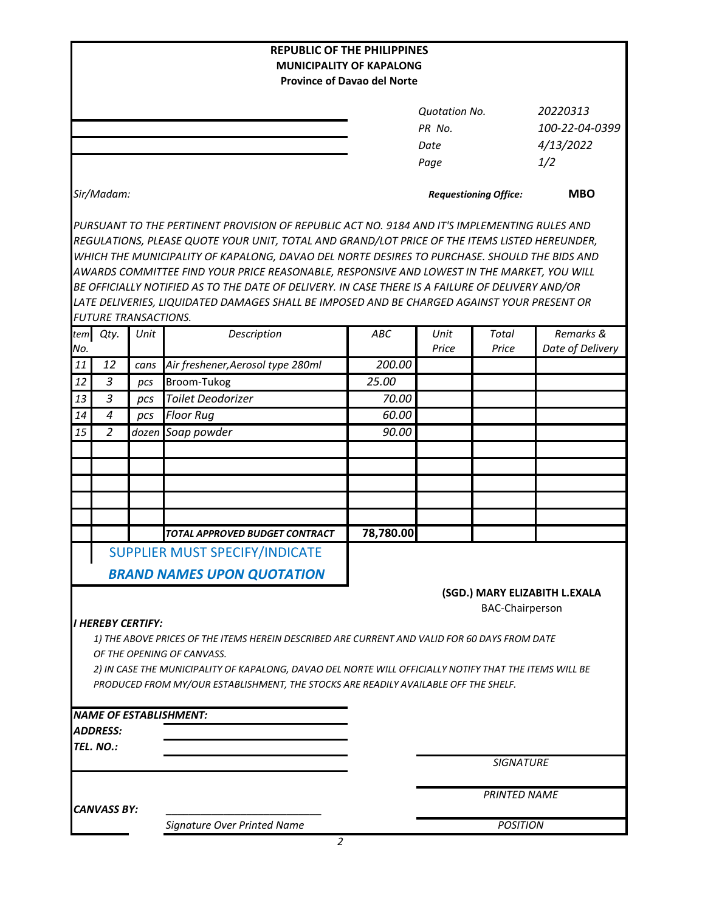| <b>REPUBLIC OF THE PHILIPPINES</b>                                                                                                                                                              |                             |      |                                                                                                        |           |                                                                                              |                        |                               |  |  |  |  |  |
|-------------------------------------------------------------------------------------------------------------------------------------------------------------------------------------------------|-----------------------------|------|--------------------------------------------------------------------------------------------------------|-----------|----------------------------------------------------------------------------------------------|------------------------|-------------------------------|--|--|--|--|--|
| <b>MUNICIPALITY OF KAPALONG</b><br><b>Province of Davao del Norte</b>                                                                                                                           |                             |      |                                                                                                        |           |                                                                                              |                        |                               |  |  |  |  |  |
|                                                                                                                                                                                                 |                             |      |                                                                                                        |           |                                                                                              |                        |                               |  |  |  |  |  |
|                                                                                                                                                                                                 |                             |      |                                                                                                        |           | <b>Quotation No.</b>                                                                         |                        | 20220313                      |  |  |  |  |  |
|                                                                                                                                                                                                 |                             |      |                                                                                                        |           | PR No.                                                                                       |                        | 100-22-04-0399                |  |  |  |  |  |
|                                                                                                                                                                                                 |                             |      |                                                                                                        |           | Date                                                                                         |                        | 4/13/2022                     |  |  |  |  |  |
|                                                                                                                                                                                                 |                             |      |                                                                                                        |           | Page                                                                                         |                        | 1/2                           |  |  |  |  |  |
|                                                                                                                                                                                                 | Sir/Madam:                  |      |                                                                                                        |           | <b>Requestioning Office:</b>                                                                 |                        | <b>MBO</b>                    |  |  |  |  |  |
|                                                                                                                                                                                                 |                             |      |                                                                                                        |           | PURSUANT TO THE PERTINENT PROVISION OF REPUBLIC ACT NO. 9184 AND IT'S IMPLEMENTING RULES AND |                        |                               |  |  |  |  |  |
| REGULATIONS, PLEASE QUOTE YOUR UNIT, TOTAL AND GRAND/LOT PRICE OF THE ITEMS LISTED HEREUNDER,                                                                                                   |                             |      |                                                                                                        |           |                                                                                              |                        |                               |  |  |  |  |  |
| WHICH THE MUNICIPALITY OF KAPALONG, DAVAO DEL NORTE DESIRES TO PURCHASE. SHOULD THE BIDS AND                                                                                                    |                             |      |                                                                                                        |           |                                                                                              |                        |                               |  |  |  |  |  |
|                                                                                                                                                                                                 |                             |      | AWARDS COMMITTEE FIND YOUR PRICE REASONABLE, RESPONSIVE AND LOWEST IN THE MARKET, YOU WILL             |           |                                                                                              |                        |                               |  |  |  |  |  |
| BE OFFICIALLY NOTIFIED AS TO THE DATE OF DELIVERY. IN CASE THERE IS A FAILURE OF DELIVERY AND/OR<br>LATE DELIVERIES, LIQUIDATED DAMAGES SHALL BE IMPOSED AND BE CHARGED AGAINST YOUR PRESENT OR |                             |      |                                                                                                        |           |                                                                                              |                        |                               |  |  |  |  |  |
|                                                                                                                                                                                                 | <b>FUTURE TRANSACTIONS.</b> |      |                                                                                                        |           |                                                                                              |                        |                               |  |  |  |  |  |
| tem                                                                                                                                                                                             | Qty.                        | Unit | Description                                                                                            | ABC       | Unit                                                                                         | Total                  | Remarks &                     |  |  |  |  |  |
| No.                                                                                                                                                                                             |                             |      |                                                                                                        |           | Price                                                                                        | Price                  | Date of Delivery              |  |  |  |  |  |
| 11                                                                                                                                                                                              | 12                          | cans | Air freshener, Aerosol type 280ml                                                                      | 200.00    |                                                                                              |                        |                               |  |  |  |  |  |
| 12                                                                                                                                                                                              | $\overline{3}$              | pcs  | Broom-Tukog                                                                                            | 25.00     |                                                                                              |                        |                               |  |  |  |  |  |
| 13                                                                                                                                                                                              | 3                           | pcs  | <b>Toilet Deodorizer</b>                                                                               | 70.00     |                                                                                              |                        |                               |  |  |  |  |  |
| 14                                                                                                                                                                                              | $\overline{a}$              | pcs  | <b>Floor Rug</b>                                                                                       | 60.00     |                                                                                              |                        |                               |  |  |  |  |  |
| 15                                                                                                                                                                                              | 2                           |      | dozen Soap powder                                                                                      | 90.00     |                                                                                              |                        |                               |  |  |  |  |  |
|                                                                                                                                                                                                 |                             |      |                                                                                                        |           |                                                                                              |                        |                               |  |  |  |  |  |
|                                                                                                                                                                                                 |                             |      |                                                                                                        |           |                                                                                              |                        |                               |  |  |  |  |  |
|                                                                                                                                                                                                 |                             |      |                                                                                                        |           |                                                                                              |                        |                               |  |  |  |  |  |
|                                                                                                                                                                                                 |                             |      |                                                                                                        |           |                                                                                              |                        |                               |  |  |  |  |  |
|                                                                                                                                                                                                 |                             |      |                                                                                                        |           |                                                                                              |                        |                               |  |  |  |  |  |
|                                                                                                                                                                                                 |                             |      | TOTAL APPROVED BUDGET CONTRACT                                                                         | 78,780.00 |                                                                                              |                        |                               |  |  |  |  |  |
|                                                                                                                                                                                                 |                             |      | SUPPLIER MUST SPECIFY/INDICATE                                                                         |           |                                                                                              |                        |                               |  |  |  |  |  |
|                                                                                                                                                                                                 |                             |      | <b>BRAND NAMES UPON QUOTATION</b>                                                                      |           |                                                                                              |                        |                               |  |  |  |  |  |
|                                                                                                                                                                                                 |                             |      |                                                                                                        |           |                                                                                              |                        |                               |  |  |  |  |  |
|                                                                                                                                                                                                 |                             |      |                                                                                                        |           |                                                                                              | <b>BAC-Chairperson</b> | (SGD.) MARY ELIZABITH L.EXALA |  |  |  |  |  |
|                                                                                                                                                                                                 | <b>I HEREBY CERTIFY:</b>    |      |                                                                                                        |           |                                                                                              |                        |                               |  |  |  |  |  |
|                                                                                                                                                                                                 |                             |      | 1) THE ABOVE PRICES OF THE ITEMS HEREIN DESCRIBED ARE CURRENT AND VALID FOR 60 DAYS FROM DATE          |           |                                                                                              |                        |                               |  |  |  |  |  |
|                                                                                                                                                                                                 |                             |      | OF THE OPENING OF CANVASS.                                                                             |           |                                                                                              |                        |                               |  |  |  |  |  |
|                                                                                                                                                                                                 |                             |      | 2) IN CASE THE MUNICIPALITY OF KAPALONG, DAVAO DEL NORTE WILL OFFICIALLY NOTIFY THAT THE ITEMS WILL BE |           |                                                                                              |                        |                               |  |  |  |  |  |
|                                                                                                                                                                                                 |                             |      | PRODUCED FROM MY/OUR ESTABLISHMENT, THE STOCKS ARE READILY AVAILABLE OFF THE SHELF.                    |           |                                                                                              |                        |                               |  |  |  |  |  |
|                                                                                                                                                                                                 |                             |      |                                                                                                        |           |                                                                                              |                        |                               |  |  |  |  |  |
|                                                                                                                                                                                                 |                             |      | NAME OF ESTABLISHMENT:                                                                                 |           |                                                                                              |                        |                               |  |  |  |  |  |
|                                                                                                                                                                                                 | <b>ADDRESS:</b>             |      |                                                                                                        |           |                                                                                              |                        |                               |  |  |  |  |  |
|                                                                                                                                                                                                 | TEL. NO.:                   |      |                                                                                                        |           |                                                                                              |                        |                               |  |  |  |  |  |
|                                                                                                                                                                                                 |                             |      |                                                                                                        |           |                                                                                              | <b>SIGNATURE</b>       |                               |  |  |  |  |  |
|                                                                                                                                                                                                 |                             |      |                                                                                                        |           | <b>PRINTED NAME</b>                                                                          |                        |                               |  |  |  |  |  |
|                                                                                                                                                                                                 | <b>CANVASS BY:</b>          |      |                                                                                                        |           |                                                                                              |                        |                               |  |  |  |  |  |
|                                                                                                                                                                                                 |                             |      | Signature Over Printed Name                                                                            |           | <b>POSITION</b>                                                                              |                        |                               |  |  |  |  |  |